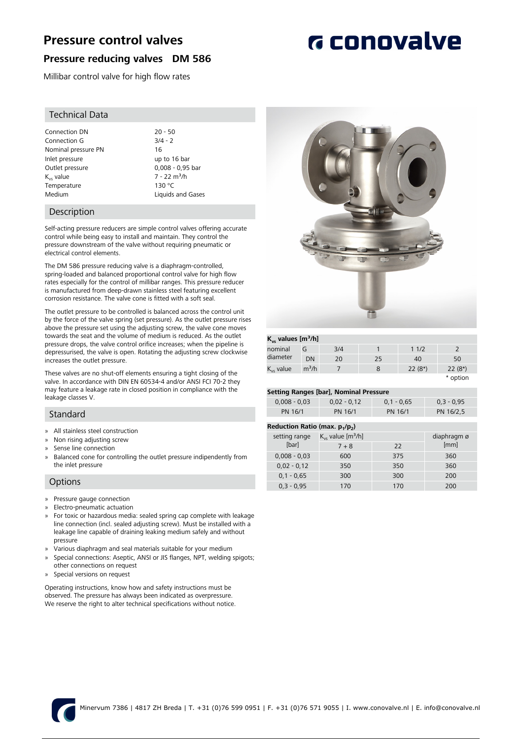# **Pressure control valves**

## **Pressure reducing valves DM 586**

Millibar control valve for high flow rates

## Technical Data

Connection DN 20 - 50<br>Connection G 3/4 - 2 Connection G Nominal pressure PN 16 Inlet pressure Up to 16 bar<br>Outlet pressure Up to 16 bar<br>
D.008 - 0.95 bar Outlet pressure  $K_{vs}$  value  $K_{vs}$  value  $7 - 22$  m<sup>3</sup>/h<br>Temperature  $130 °C$ Temperature Medium **Liquids and Gases** 

## Description

Self-acting pressure reducers are simple control valves offering accurate control while being easy to install and maintain. They control the pressure downstream of the valve without requiring pneumatic or electrical control elements.

The DM 586 pressure reducing valve is a diaphragm-controlled, spring-loaded and balanced proportional control valve for high flow rates especially for the control of millibar ranges. This pressure reducer is manufactured from deep-drawn stainless steel featuring excellent corrosion resistance. The valve cone is fitted with a soft seal.

The outlet pressure to be controlled is balanced across the control unit by the force of the valve spring (set pressure). As the outlet pressure rises above the pressure set using the adjusting screw, the valve cone moves towards the seat and the volume of medium is reduced. As the outlet pressure drops, the valve control orifice increases; when the pipeline is depressurised, the valve is open. Rotating the adjusting screw clockwise increases the outlet pressure.

These valves are no shut-off elements ensuring a tight closing of the valve. In accordance with DIN EN 60534-4 and/or ANSI FCI 70-2 they may feature a leakage rate in closed position in compliance with the leakage classes V.

### Standard

- » All stainless steel construction
- » Non rising adjusting screw
- Sense line connection
- Balanced cone for controlling the outlet pressure indipendently from the inlet pressure

### **Options**

- » Pressure gauge connection
- » Electro-pneumatic actuation
- » For toxic or hazardous media: sealed spring cap complete with leakage line connection (incl. sealed adjusting screw). Must be installed with a leakage line capable of draining leaking medium safely and without pressure
- » Various diaphragm and seal materials suitable for your medium
- » Special connections: Aseptic, ANSI or JIS flanges, NPT, welding spigots; other connections on request
- Special versions on request

Operating instructions, know how and safety instructions must be observed. The pressure has always been indicated as overpressure. We reserve the right to alter technical specifications without notice.



### **Kvs values [m³/h]**

| $-96 - 99 - 99 - 100$ |                   |     |    |          |          |  |
|-----------------------|-------------------|-----|----|----------|----------|--|
| nominal               | G                 | 3/4 |    | 11/2     |          |  |
| diameter              | DN                | 20  | 25 | 40       | 50       |  |
| $K_{vs}$ value        | m <sup>3</sup> /h |     |    | $22(8*)$ | $22(8*)$ |  |
|                       |                   |     |    |          | * option |  |

### **Setting Ranges [bar], Nominal Pressure**

| setting nanges [bar], resuman ressare |               |              |              |  |  |  |
|---------------------------------------|---------------|--------------|--------------|--|--|--|
| $0.008 - 0.03$                        | $0.02 - 0.12$ | $0.1 - 0.65$ | $0.3 - 0.95$ |  |  |  |
| PN 16/1                               | PN 16/1       | PN 16/1      | PN 16/2.5    |  |  |  |
|                                       |               |              |              |  |  |  |

#### **Reduction Ratio (max. p<sup>1</sup> /p<sup>2</sup> )**

|                | $\cdots$                           |             |      |
|----------------|------------------------------------|-------------|------|
| setting range  | $K_{vs}$ value [m <sup>3</sup> /h] | diaphragm ø |      |
| [bar]          | $7 + 8$                            | 22          | [mm] |
| $0,008 - 0,03$ | 600                                | 375         | 360  |
| $0,02 - 0,12$  | 350                                | 350         | 360  |
| $0,1 - 0,65$   | 300                                | 300         | 200  |
| $0.3 - 0.95$   | 170                                | 170         | 200  |
|                |                                    |             |      |



# **G** conovalve